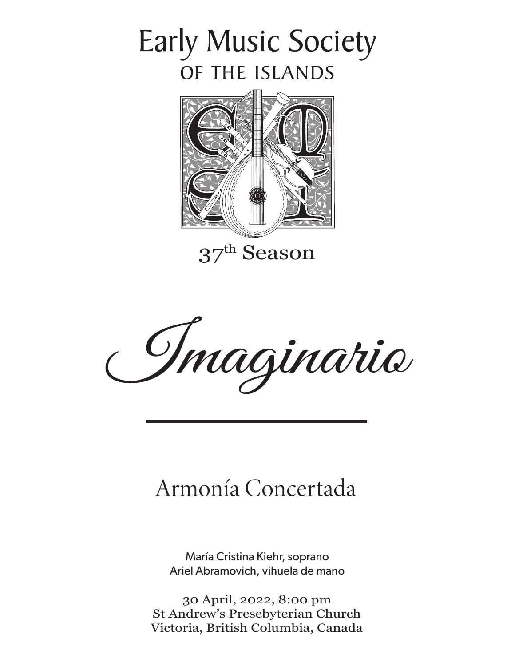## **Early Music Society** OF THE ISLANDS



37th Season

Imaginario

## Armonía Concertada

María Cristina Kiehr, soprano Ariel Abramovich, vihuela de mano

30 April, 2022, 8:00 pm St Andrew's Presebyterian Church Victoria, British Columbia, Canada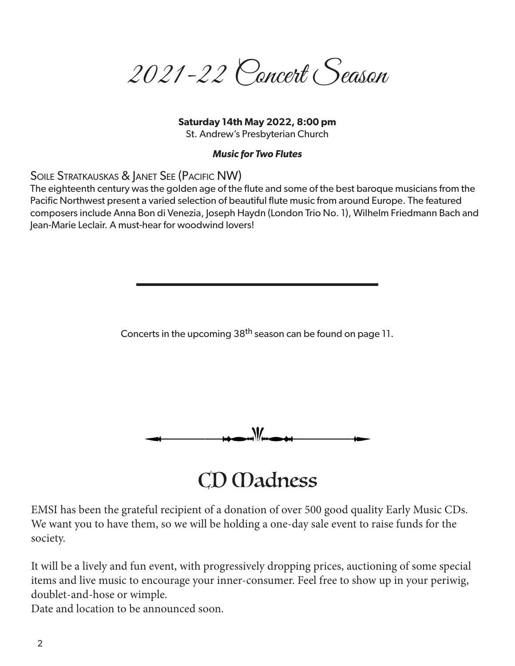2021-22 Concert Season

#### **Saturday 14th May 2022, 8:00 pm**

St. Andrew's Presbyterian Church

#### *Music for Two Flutes*

Soile Stratkauskas & Janet See (Pacific NW)

The eighteenth century was the golden age of the flute and some of the best baroque musicians from the Pacific Northwest present a varied selection of beautiful flute music from around Europe. The featured composers include Anna Bon di Venezia, Joseph Haydn (London Trio No. 1), Wilhelm Friedmann Bach and Jean-Marie Leclair. A must-hear for woodwind lovers!

Concerts in the upcoming 38<sup>th</sup> season can be found on page 11.



## CD *Madness*

EMSI has been the grateful recipient of a donation of over 500 good quality Early Music CDs. We want you to have them, so we will be holding a one-day sale event to raise funds for the society.

It will be a lively and fun event, with progressively dropping prices, auctioning of some special items and live music to encourage your inner-consumer. Feel free to show up in your periwig, doublet-and-hose or wimple.

Date and location to be announced soon.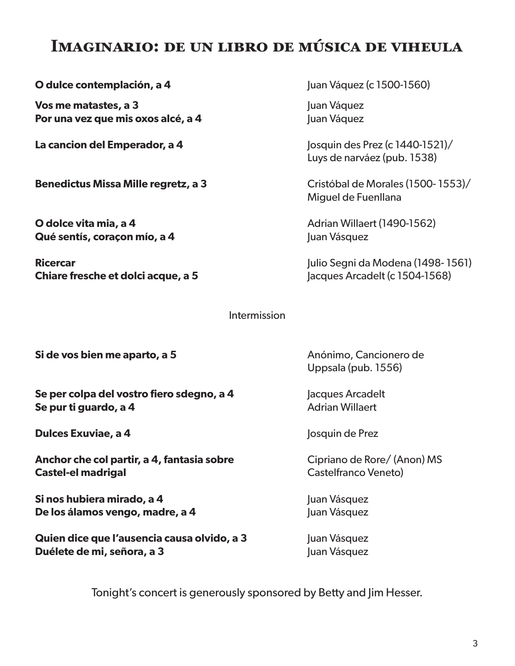## **Imaginario: de un libro de música de viheula**

**O dulce contemplación, a 4** Juan Váquez (c 1500-1560)

**Vos me matastes, a 3** Juan Váquez **Por una vez que mis oxos alcé, a 4** Juan Váquez

**Benedictus Missa Mille regretz, a 3** Cristóbal de Morales (1500-1553)/

**O dolce vita mia, a 4** Adrian Willaert (1490-1562) **Qué sentís, coraçon mío, a 4** Juan Vásquez

**Chiare fresche et dolci acque, a 5** Jacques Arcadelt (c 1504-1568)

**La cancion del Emperador, a 4** Josquin des Prez (c 1440-1521)/ Luys de narváez (pub. 1538)

Miguel de Fuenllana

**Ricercar** Julio Segni da Modena (1498- 1561)

#### Intermission

**Si de vos bien me aparto, a 5** Anónimo, Cancionero de

**Se per colpa del vostro fiero sdegno, a 4** Jacques Arcadelt **Se pur ti guardo, a 4** Adrian Willaert

**Dulces Exuviae, a 4** Josquin de Prez

**Anchor che col partir, a 4, fantasia sobre** Cipriano de Rore/ (Anon) MS **Castel-el madrigal** Castelfranco Veneto)

**Si nos hubiera mirado, a 4** Juan Vásquez **De los álamos vengo, madre, a 4** Juan Vásquez

**Quien dice que l'ausencia causa olvido, a 3** Juan Vásquez **Duélete de mi, señora, a 3** Juan Vásquez

Uppsala (pub. 1556)

Tonight's concert is generously sponsored by Betty and Jim Hesser.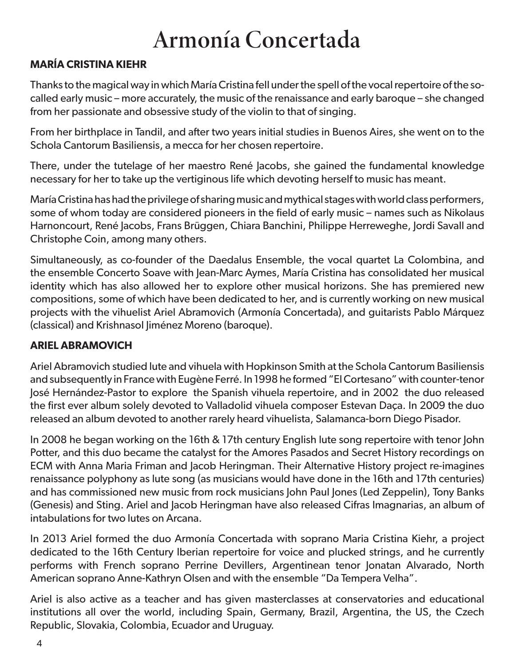## Armonía Concertada

#### **MARÍA CRISTINA KIEHR**

Thanks to the magical way in which María Cristina fell under the spell of the vocal repertoire of the socalled early music – more accurately, the music of the renaissance and early baroque – she changed from her passionate and obsessive study of the violin to that of singing.

From her birthplace in Tandil, and after two years initial studies in Buenos Aires, she went on to the Schola Cantorum Basiliensis, a mecca for her chosen repertoire.

There, under the tutelage of her maestro René Jacobs, she gained the fundamental knowledge necessary for her to take up the vertiginous life which devoting herself to music has meant.

María Cristina has had the privilege of sharing music and mythical stages with world class performers, some of whom today are considered pioneers in the field of early music – names such as Nikolaus Harnoncourt, René Jacobs, Frans Brüggen, Chiara Banchini, Philippe Herreweghe, Jordi Savall and Christophe Coin, among many others.

Simultaneously, as co-founder of the Daedalus Ensemble, the vocal quartet La Colombina, and the ensemble Concerto Soave with Jean-Marc Aymes, María Cristina has consolidated her musical identity which has also allowed her to explore other musical horizons. She has premiered new compositions, some of which have been dedicated to her, and is currently working on new musical projects with the vihuelist Ariel Abramovich (Armonía Concertada), and guitarists Pablo Márquez (classical) and Krishnasol Jiménez Moreno (baroque).

#### **ARIEL ABRAMOVICH**

Ariel Abramovich studied lute and vihuela with Hopkinson Smith at the Schola Cantorum Basiliensis and subsequently in France with Eugène Ferré. In 1998 he formed "El Cortesano" with counter-tenor José Hernández-Pastor to explore the Spanish vihuela repertoire, and in 2002 the duo released the first ever album solely devoted to Valladolid vihuela composer Estevan Daça. In 2009 the duo released an album devoted to another rarely heard vihuelista, Salamanca-born Diego Pisador.

In 2008 he began working on the 16th & 17th century English lute song repertoire with tenor John Potter, and this duo became the catalyst for the Amores Pasados and Secret History recordings on ECM with Anna Maria Friman and Jacob Heringman. Their Alternative History project re-imagines renaissance polyphony as lute song (as musicians would have done in the 16th and 17th centuries) and has commissioned new music from rock musicians John Paul Jones (Led Zeppelin), Tony Banks (Genesis) and Sting. Ariel and Jacob Heringman have also released Cifras Imagnarias, an album of intabulations for two lutes on Arcana.

In 2013 Ariel formed the duo Armonía Concertada with soprano Maria Cristina Kiehr, a project dedicated to the 16th Century Iberian repertoire for voice and plucked strings, and he currently performs with French soprano Perrine Devillers, Argentinean tenor Jonatan Alvarado, North American soprano Anne-Kathryn Olsen and with the ensemble "Da Tempera Velha".

Ariel is also active as a teacher and has given masterclasses at conservatories and educational institutions all over the world, including Spain, Germany, Brazil, Argentina, the US, the Czech Republic, Slovakia, Colombia, Ecuador and Uruguay.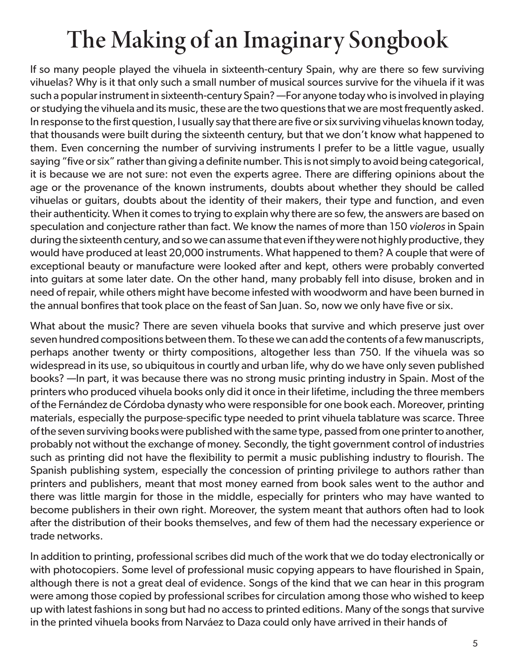# The Making of an Imaginary Songbook

If so many people played the vihuela in sixteenth-century Spain, why are there so few surviving vihuelas? Why is it that only such a small number of musical sources survive for the vihuela if it was such a popular instrument in sixteenth-century Spain? —For anyone today who is involved in playing or studying the vihuela and its music, these are the two questions that we are most frequently asked. In response to the first question, I usually say that there are five or six surviving vihuelas known today, that thousands were built during the sixteenth century, but that we don't know what happened to them. Even concerning the number of surviving instruments I prefer to be a little vague, usually saying "five or six" rather than giving a definite number. This is not simply to avoid being categorical, it is because we are not sure: not even the experts agree. There are differing opinions about the age or the provenance of the known instruments, doubts about whether they should be called vihuelas or guitars, doubts about the identity of their makers, their type and function, and even their authenticity. When it comes to trying to explain why there are so few, the answers are based on speculation and conjecture rather than fact. We know the names of more than 150 *violeros* in Spain during the sixteenth century, and so we can assume that even if they were not highly productive, they would have produced at least 20,000 instruments. What happened to them? A couple that were of exceptional beauty or manufacture were looked after and kept, others were probably converted into guitars at some later date. On the other hand, many probably fell into disuse, broken and in need of repair, while others might have become infested with woodworm and have been burned in the annual bonfires that took place on the feast of San Juan. So, now we only have five or six.

What about the music? There are seven vihuela books that survive and which preserve just over seven hundred compositions between them. To these we can add the contents of a few manuscripts, perhaps another twenty or thirty compositions, altogether less than 750. If the vihuela was so widespread in its use, so ubiquitous in courtly and urban life, why do we have only seven published books? —In part, it was because there was no strong music printing industry in Spain. Most of the printers who produced vihuela books only did it once in their lifetime, including the three members of the Fernández de Córdoba dynasty who were responsible for one book each. Moreover, printing materials, especially the purpose-specific type needed to print vihuela tablature was scarce. Three of the seven surviving books were published with the same type, passed from one printer to another, probably not without the exchange of money. Secondly, the tight government control of industries such as printing did not have the flexibility to permit a music publishing industry to flourish. The Spanish publishing system, especially the concession of printing privilege to authors rather than printers and publishers, meant that most money earned from book sales went to the author and there was little margin for those in the middle, especially for printers who may have wanted to become publishers in their own right. Moreover, the system meant that authors often had to look after the distribution of their books themselves, and few of them had the necessary experience or trade networks.

In addition to printing, professional scribes did much of the work that we do today electronically or with photocopiers. Some level of professional music copying appears to have flourished in Spain, although there is not a great deal of evidence. Songs of the kind that we can hear in this program were among those copied by professional scribes for circulation among those who wished to keep up with latest fashions in song but had no access to printed editions. Many of the songs that survive in the printed vihuela books from Narváez to Daza could only have arrived in their hands of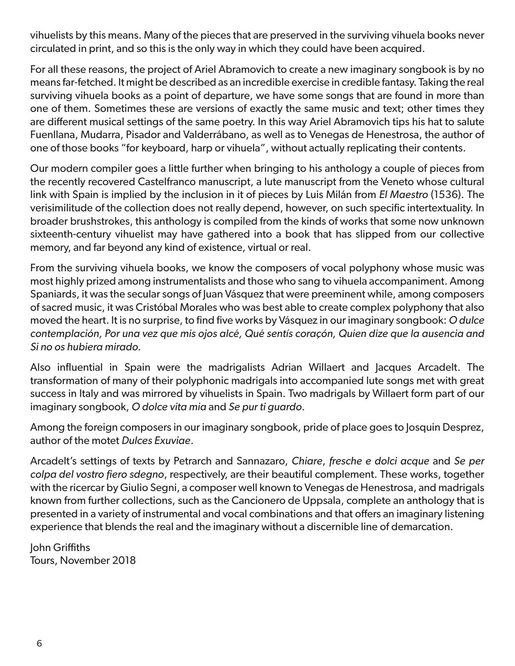vihuelists by this means. Many of the pieces that are preserved in the surviving vihuela books never circulated in print, and so this is the only way in which they could have been acquired.

For all these reasons, the project of Ariel Abramovich to create a new imaginary songbook is by no means far-fetched. It might be described as an incredible exercise in credible fantasy. Taking the real surviving vihuela books as a point of departure, we have some songs that are found in more than one of them. Sometimes these are versions of exactly the same music and text; other times they are different musical settings of the same poetry. In this way Ariel Abramovich tips his hat to salute Fuenllana, Mudarra, Pisador and Valderrábano, as well as to Venegas de Henestrosa, the author of one of those books "for keyboard, harp or vihuela", without actually replicating their contents.

Our modern compiler goes a little further when bringing to his anthology a couple of pieces from the recently recovered Castelfranco manuscript, a lute manuscript from the Veneto whose cultural link with Spain is implied by the inclusion in it of pieces by Luis Milán from *El Maestro* (1536). The verisimilitude of the collection does not really depend, however, on such specific intertextuality. In broader brushstrokes, this anthology is compiled from the kinds of works that some now unknown sixteenth-century vihuelist may have gathered into a book that has slipped from our collective memory, and far beyond any kind of existence, virtual or real.

From the surviving vihuela books, we know the composers of vocal polyphony whose music was most highly prized among instrumentalists and those who sang to vihuela accompaniment. Among Spaniards, it was the secular songs of Juan Vásquez that were preeminent while, among composers of sacred music, it was Cristóbal Morales who was best able to create complex polyphony that also moved the heart. It is no surprise, to find five works by Vásquez in our imaginary songbook: *O dulce contemplación, Por una vez que mis ojos alcé, Qué sentís coraçón, Quien dize que la ausencia and Si no os hubiera mirado.*

Also influential in Spain were the madrigalists Adrian Willaert and Jacques Arcadelt. The transformation of many of their polyphonic madrigals into accompanied lute songs met with great success in Italy and was mirrored by vihuelists in Spain. Two madrigals by Willaert form part of our imaginary songbook, *O dolce vita mia* and *Se pur ti guardo*.

Among the foreign composers in our imaginary songbook, pride of place goes to Josquin Desprez, author of the motet *Dulces Exuviae*.

Arcadelt's settings of texts by Petrarch and Sannazaro, *Chiare*, *fresche e dolci acque* and *Se per colpa del vostro fiero sdegno*, respectively, are their beautiful complement. These works, together with the ricercar by Giulio Segni, a composer well known to Venegas de Henestrosa, and madrigals known from further collections, such as the Cancionero de Uppsala, complete an anthology that is presented in a variety of instrumental and vocal combinations and that offers an imaginary listening experience that blends the real and the imaginary without a discernible line of demarcation.

John Griffiths Tours, November 2018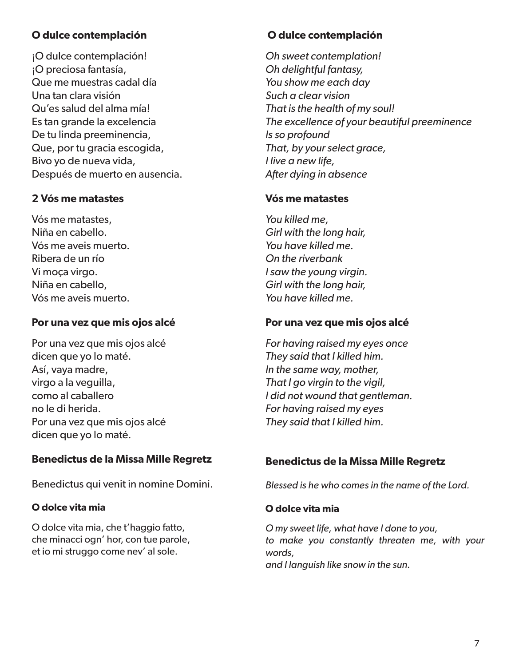#### **O dulce contemplación**

¡O dulce contemplación! ¡O preciosa fantasía, Que me muestras cadal día Una tan clara visión Qu'es salud del alma mía! Es tan grande la excelencia De tu linda preeminencia, Que, por tu gracia escogida, Bivo yo de nueva vida, Después de muerto en ausencia.

#### **2 Vós me matastes**

Vós me matastes, Niña en cabello. Vós me aveis muerto. Ribera de un río Vi moça virgo. Niña en cabello, Vós me aveis muerto.

#### **Por una vez que mis ojos alcé**

Por una vez que mis ojos alcé dicen que yo lo maté. Así, vaya madre, virgo a la veguilla, como al caballero no le di herida. Por una vez que mis ojos alcé dicen que yo lo maté.

#### **Benedictus de la Missa Mille Regretz**

Benedictus qui venit in nomine Domini.

#### **O dolce vita mia**

O dolce vita mia, che t'haggio fatto, che minacci ogn' hor, con tue parole, et io mi struggo come nev' al sole.

#### **O dulce contemplación**

*Oh sweet contemplation! Oh delightful fantasy, You show me each day Such a clear vision That is the health of my soul! The excellence of your beautiful preeminence Is so profound That, by your select grace, I live a new life, After dying in absence*

#### **Vós me matastes**

*You killed me, Girl with the long hair, You have killed me. On the riverbank I saw the young virgin. Girl with the long hair, You have killed me.*

#### **Por una vez que mis ojos alcé**

*For having raised my eyes once They said that I killed him. In the same way, mother, That I go virgin to the vigil, I did not wound that gentleman. For having raised my eyes They said that I killed him.*

#### **Benedictus de la Missa Mille Regretz**

*Blessed is he who comes in the name of the Lord.*

#### **O dolce vita mia**

*O my sweet life, what have I done to you, to make you constantly threaten me, with your words, and I languish like snow in the sun.*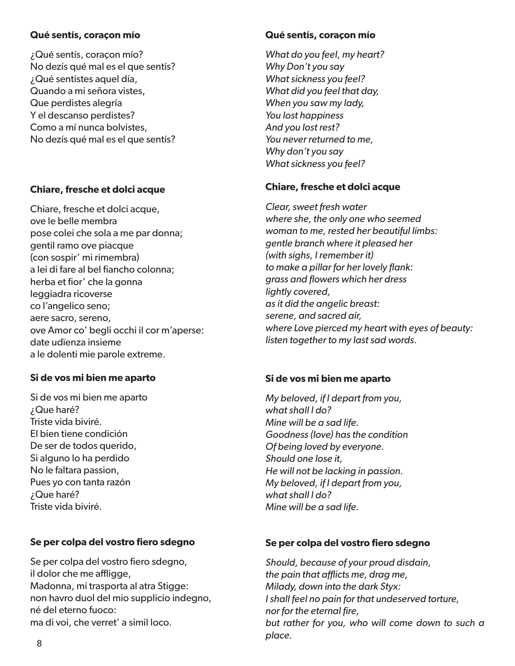#### **Qué sentís, coraçon mío**

¿Qué sentís, coraçon mío? No dezís qué mal es el que sentís? ¿Qué sentistes aquel día, Quando a mi señora vistes, Que perdistes alegría Y el descanso perdistes? Como a mí nunca bolvistes, No dezís qué mal es el que sentís?

#### **Chiare, fresche et dolci acque**

Chiare, fresche et dolci acque, ove le belle membra pose colei che sola a me par donna; gentil ramo ove piacque (con sospir' mi rimembra) a lei di fare al bel fiancho colonna; herba et fior' che la gonna leggiadra ricoverse co l'angelico seno; aere sacro, sereno, ove Amor co' begli occhi il cor m'aperse: date udïenza insieme a le dolenti mie parole extreme.

#### **Si de vos mi bien me aparto**

Si de vos mi bien me aparto ¿Que haré? Triste vida biviré. El bien tiene condición De ser de todos querido, Si alguno lo ha perdido No le faltara passion, Pues yo con tanta razón ¿Que haré? Triste vida biviré.

#### **Se per colpa del vostro fiero sdegno**

Se per colpa del vostro fiero sdegno, il dolor che me affligge, Madonna, mi trasporta al atra Stigge: non havro duol del mio supplicio indegno, né del eterno fuoco: ma di voi, che verret' a simil loco.

#### **Qué sentís, coraçon mío**

*What do you feel, my heart? Why Don't you say What sickness you feel? What did you feel that day, When you saw my lady, You lost happiness And you lost rest? You never returned to me, Why don't you say What sickness you feel?*

#### **Chiare, fresche et dolci acque**

*Clear, sweet fresh water where she, the only one who seemed woman to me, rested her beautiful limbs: gentle branch where it pleased her (with sighs, I remember it) to make a pillar for her lovely flank: grass and flowers which her dress lightly covered, as it did the angelic breast: serene, and sacred air, where Love pierced my heart with eyes of beauty: listen together to my last sad words.*

#### **Si de vos mi bien me aparto**

*My beloved, if I depart from you, what shall I do? Mine will be a sad life. Goodness (love) has the condition Of being loved by everyone. Should one lose it, He will not be lacking in passion. My beloved, if I depart from you, what shall I do? Mine will be a sad life.*

#### **Se per colpa del vostro fiero sdegno**

*Should, because of your proud disdain, the pain that afflicts me, drag me, Milady, down into the dark Styx: I shall feel no pain for that undeserved torture, nor for the eternal fire, but rather for you, who will come down to such a place.*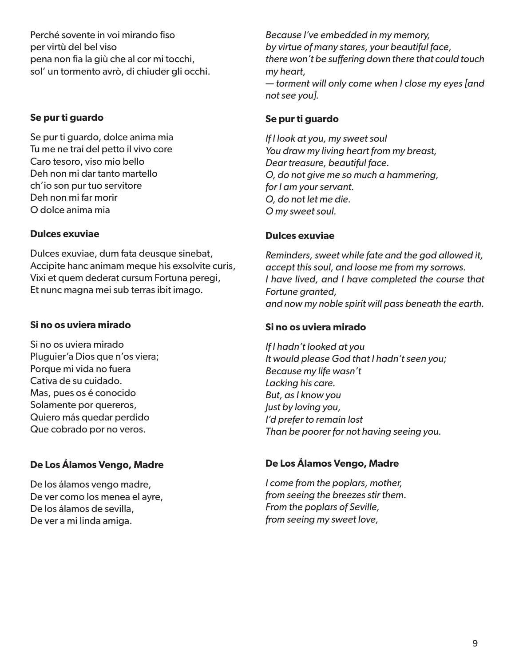Perché sovente in voi mirando fiso per virtù del bel viso pena non fia la giù che al cor mi tocchi, sol' un tormento avrò, di chiuder gli occhi.

#### **Se pur ti guardo**

Se pur ti guardo, dolce anima mia Tu me ne trai del petto il vivo core Caro tesoro, viso mio bello Deh non mi dar tanto martello ch'io son pur tuo servitore Deh non mi far morir O dolce anima mia

#### **Dulces exuviae**

Dulces exuviae, dum fata deusque sinebat, Accipite hanc animam meque his exsolvite curis, Vixi et quem dederat cursum Fortuna peregi, Et nunc magna mei sub terras ibit imago.

#### **Si no os uviera mirado**

Si no os uviera mirado Pluguier'a Dios que n'os viera; Porque mi vida no fuera Cativa de su cuidado. Mas, pues os é conocido Solamente por quereros, Quiero más quedar perdido Que cobrado por no veros.

#### **De Los Álamos Vengo, Madre**

De los álamos vengo madre, De ver como los menea el ayre, De los álamos de sevilla, De ver a mi linda amiga.

*Because I've embedded in my memory, by virtue of many stares, your beautiful face, there won't be suffering down there that could touch my heart, — torment will only come when I close my eyes [and not see you].*

#### **Se pur ti guardo**

*If I look at you, my sweet soul You draw my living heart from my breast, Dear treasure, beautiful face. O, do not give me so much a hammering, for I am your servant. O, do not let me die. O my sweet soul.*

#### **Dulces exuviae**

*Reminders, sweet while fate and the god allowed it, accept this soul, and loose me from my sorrows. I have lived, and I have completed the course that Fortune granted, and now my noble spirit will pass beneath the earth.*

#### **Si no os uviera mirado**

*If I hadn't looked at you It would please God that I hadn't seen you; Because my life wasn't Lacking his care. But, as I know you Just by loving you, I'd prefer to remain lost Than be poorer for not having seeing you.*

#### **De Los Álamos Vengo, Madre**

*I come from the poplars, mother, from seeing the breezes stir them. From the poplars of Seville, from seeing my sweet love,*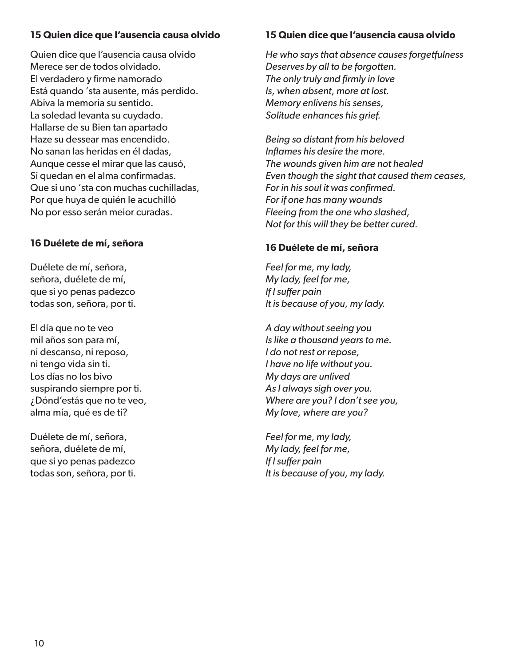#### **15 Quien dice que l'ausencia causa olvido**

Quien dice que l'ausencia causa olvido Merece ser de todos olvidado. El verdadero y firme namorado Está quando 'sta ausente, más perdido. Abiva la memoria su sentido. La soledad levanta su cuydado. Hallarse de su Bien tan apartado Haze su dessear mas encendido. No sanan las heridas en él dadas, Aunque cesse el mirar que las causó, Si quedan en el alma confirmadas. Que si uno 'sta con muchas cuchilladas, Por que huya de quién le acuchilló No por esso serán meior curadas.

#### **16 Duélete de mí, señora**

Duélete de mí, señora, señora, duélete de mí, que si yo penas padezco todas son, señora, por ti.

El día que no te veo mil años son para mí, ni descanso, ni reposo, ni tengo vida sin ti. Los días no los bivo suspirando siempre por ti. ¿Dónd'estás que no te veo, alma mía, qué es de ti?

Duélete de mí, señora, señora, duélete de mí, que si yo penas padezco todas son, señora, por ti.

#### **15 Quien dice que l'ausencia causa olvido**

*He who says that absence causes forgetfulness Deserves by all to be forgotten. The only truly and firmly in love Is, when absent, more at lost. Memory enlivens his senses, Solitude enhances his grief.*

*Being so distant from his beloved Inflames his desire the more. The wounds given him are not healed Even though the sight that caused them ceases, For in his soul it was confirmed. For if one has many wounds Fleeing from the one who slashed, Not for this will they be better cured.*

#### **16 Duélete de mí, señora**

*Feel for me, my lady, My lady, feel for me, If I suffer pain It is because of you, my lady.*

*A day without seeing you Is like a thousand years to me. I do not rest or repose, I have no life without you. My days are unlived As I always sigh over you. Where are you? I don't see you, My love, where are you?*

*Feel for me, my lady, My lady, feel for me, If I suffer pain It is because of you, my lady.*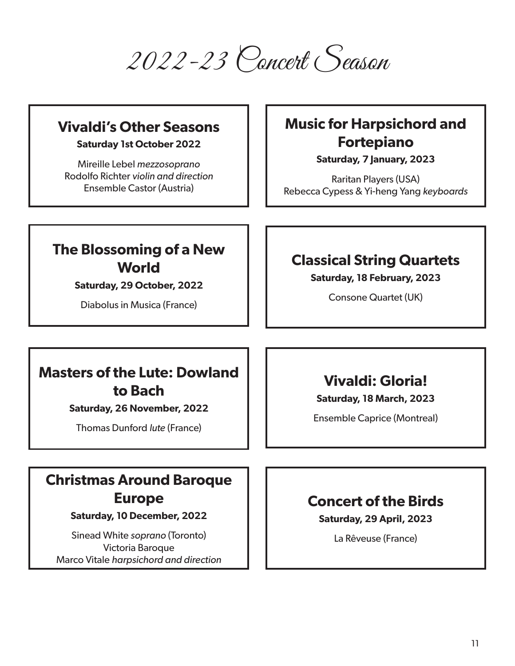2022-23 Concert Season

### **Vivaldi's Other Seasons**

**Saturday 1st October 2022**

Mireille Lebel *mezzosoprano* Rodolfo Richter *violin and direction* Ensemble Castor (Austria)

## **Music for Harpsichord and Fortepiano**

**Saturday, 7 January, 2023**

Raritan Players (USA) Rebecca Cypess & Yi-heng Yang *keyboards*

## **The Blossoming of a New World**

**Saturday, 29 October, 2022**

Diabolus in Musica (France)

### **Classical String Quartets**

**Saturday, 18 February, 2023**

Consone Quartet (UK)

## **Masters of the Lute: Dowland to Bach**

**Saturday, 26 November, 2022**

Thomas Dunford *lute* (France)

## **Vivaldi: Gloria!**

**Saturday, 18 March, 2023**

Ensemble Caprice (Montreal)

## **Christmas Around Baroque Europe**

**Saturday, 10 December, 2022**

Sinead White *soprano* (Toronto) Victoria Baroque Marco Vitale *harpsichord and direction*

## **Concert of the Birds**

**Saturday, 29 April, 2023**

La Rêveuse (France)